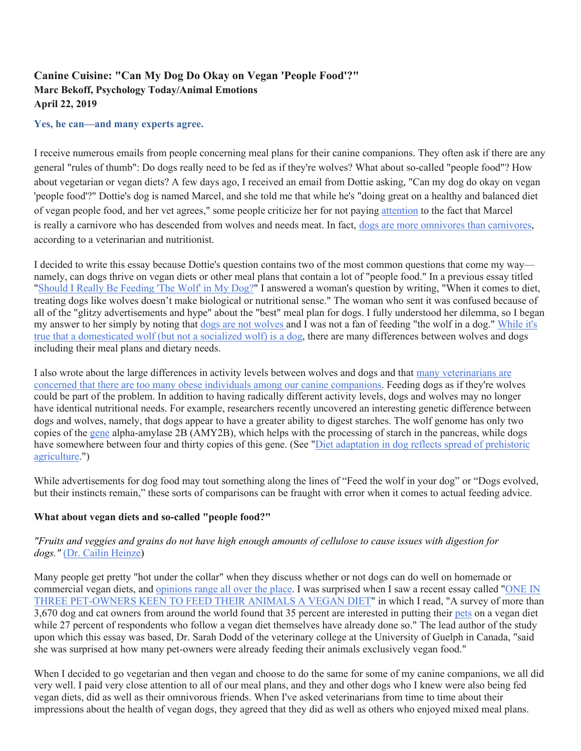# **Canine Cuisine: "Can My Dog Do Okay on Vegan 'People Food'?" Marc Bekoff, Psychology Today/Animal Emotions April 22, 2019**

#### **Yes, he can—and many experts agree.**

I receive numerous emails from people concerning meal plans for their canine companions. They often ask if there are any general "rules of thumb": Do dogs really need to be fed as if they're wolves? What about so-called "people food"? How about vegetarian or vegan diets? A few days ago, I received an email from Dottie asking, "Can my dog do okay on vegan 'people food'?" Dottie's dog is named Marcel, and she told me that while he's "doing great on a healthy and balanced diet of vegan people food, and her vet agrees," some people criticize her for not paying attention to the fact that Marcel is really a carnivore who has descended from wolves and needs meat. In fact, dogs are more omnivores than carnivores, according to a veterinarian and nutritionist.

I decided to write this essay because Dottie's question contains two of the most common questions that come my way namely, can dogs thrive on vegan diets or other meal plans that contain a lot of "people food." In a previous essay titled "Should I Really Be Feeding 'The Wolf' in My Dog?" I answered a woman's question by writing, "When it comes to diet, treating dogs like wolves doesn't make biological or nutritional sense." The woman who sent it was confused because of all of the "glitzy advertisements and hype" about the "best" meal plan for dogs. I fully understood her dilemma, so I began my answer to her simply by noting that dogs are not wolves and I was not a fan of feeding "the wolf in a dog." While it's true that a domesticated wolf (but not a socialized wolf) is a dog, there are many differences between wolves and dogs including their meal plans and dietary needs.

I also wrote about the large differences in activity levels between wolves and dogs and that many veterinarians are concerned that there are too many obese individuals among our canine companions. Feeding dogs as if they're wolves could be part of the problem. In addition to having radically different activity levels, dogs and wolves may no longer have identical nutritional needs. For example, researchers recently uncovered an interesting genetic difference between dogs and wolves, namely, that dogs appear to have a greater ability to digest starches. The wolf genome has only two copies of the gene alpha-amylase 2B (AMY2B), which helps with the processing of starch in the pancreas, while dogs have somewhere between four and thirty copies of this gene. (See "Diet adaptation in dog reflects spread of prehistoric agriculture.")

While advertisements for dog food may tout something along the lines of "Feed the wolf in your dog" or "Dogs evolved, but their instincts remain," these sorts of comparisons can be fraught with error when it comes to actual feeding advice.

## **What about vegan diets and so-called "people food?"**

## *"Fruits and veggies and grains do not have high enough amounts of cellulose to cause issues with digestion for dogs."* (Dr. Cailin Heinze)

Many people get pretty "hot under the collar" when they discuss whether or not dogs can do well on homemade or commercial vegan diets, and opinions range all over the place. I was surprised when I saw a recent essay called "ONE IN THREE PET-OWNERS KEEN TO FEED THEIR ANIMALS A VEGAN DIET" in which I read, "A survey of more than  $3,670$  dog and cat owners from around the world found that 35 percent are interested in putting their pets on a vegan diet while 27 percent of respondents who follow a vegan diet themselves have already done so." The lead author of the study upon which this essay was based, Dr. Sarah Dodd of the veterinary college at the University of Guelph in Canada, "said she was surprised at how many pet-owners were already feeding their animals exclusively vegan food."

When I decided to go vegetarian and then vegan and choose to do the same for some of my canine companions, we all did very well. I paid very close attention to all of our meal plans, and they and other dogs who I knew were also being fed vegan diets, did as well as their omnivorous friends. When I've asked veterinarians from time to time about their impressions about the health of vegan dogs, they agreed that they did as well as others who enjoyed mixed meal plans.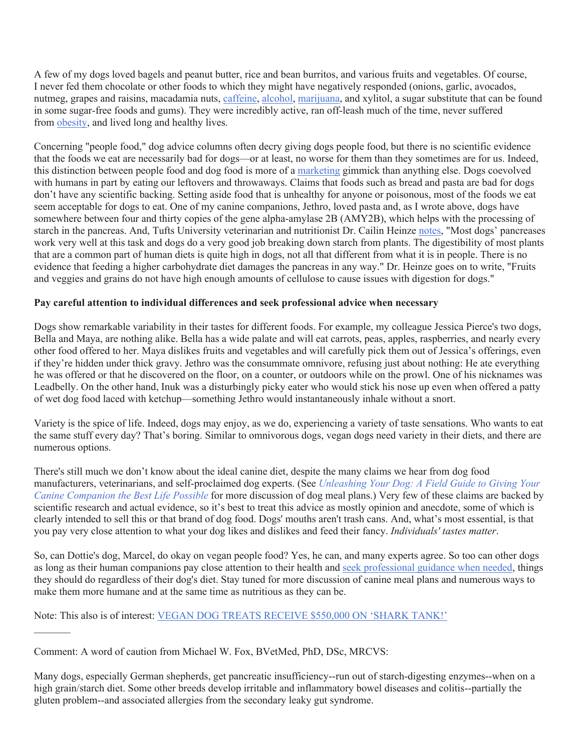A few of my dogs loved bagels and peanut butter, rice and bean burritos, and various fruits and vegetables. Of course, I never fed them chocolate or other foods to which they might have negatively responded (onions, garlic, avocados, nutmeg, grapes and raisins, macadamia nuts, caffeine, alcohol, marijuana, and xylitol, a sugar substitute that can be found in some sugar-free foods and gums). They were incredibly active, ran off-leash much of the time, never suffered from obesity, and lived long and healthy lives.

Concerning "people food," dog advice columns often decry giving dogs people food, but there is no scientific evidence that the foods we eat are necessarily bad for dogs—or at least, no worse for them than they sometimes are for us. Indeed, this distinction between people food and dog food is more of a marketing gimmick than anything else. Dogs coevolved with humans in part by eating our leftovers and throwaways. Claims that foods such as bread and pasta are bad for dogs don't have any scientific backing. Setting aside food that is unhealthy for anyone or poisonous, most of the foods we eat seem acceptable for dogs to eat. One of my canine companions, Jethro, loved pasta and, as I wrote above, dogs have somewhere between four and thirty copies of the gene alpha-amylase 2B (AMY2B), which helps with the processing of starch in the pancreas. And, Tufts University veterinarian and nutritionist Dr. Cailin Heinze notes, "Most dogs' pancreases work very well at this task and dogs do a very good job breaking down starch from plants. The digestibility of most plants that are a common part of human diets is quite high in dogs, not all that different from what it is in people. There is no evidence that feeding a higher carbohydrate diet damages the pancreas in any way." Dr. Heinze goes on to write, "Fruits and veggies and grains do not have high enough amounts of cellulose to cause issues with digestion for dogs."

#### **Pay careful attention to individual differences and seek professional advice when necessary**

Dogs show remarkable variability in their tastes for different foods. For example, my colleague Jessica Pierce's two dogs, Bella and Maya, are nothing alike. Bella has a wide palate and will eat carrots, peas, apples, raspberries, and nearly every other food offered to her. Maya dislikes fruits and vegetables and will carefully pick them out of Jessica's offerings, even if they're hidden under thick gravy. Jethro was the consummate omnivore, refusing just about nothing: He ate everything he was offered or that he discovered on the floor, on a counter, or outdoors while on the prowl. One of his nicknames was Leadbelly. On the other hand, Inuk was a disturbingly picky eater who would stick his nose up even when offered a patty of wet dog food laced with ketchup—something Jethro would instantaneously inhale without a snort.

Variety is the spice of life. Indeed, dogs may enjoy, as we do, experiencing a variety of taste sensations. Who wants to eat the same stuff every day? That's boring. Similar to omnivorous dogs, vegan dogs need variety in their diets, and there are numerous options.

There's still much we don't know about the ideal canine diet, despite the many claims we hear from dog food manufacturers, veterinarians, and self-proclaimed dog experts. (See *Unleashing Your Dog: A Field Guide to Giving Your Canine Companion the Best Life Possible* for more discussion of dog meal plans.) Very few of these claims are backed by scientific research and actual evidence, so it's best to treat this advice as mostly opinion and anecdote, some of which is clearly intended to sell this or that brand of dog food. Dogs' mouths aren't trash cans. And, what's most essential, is that you pay very close attention to what your dog likes and dislikes and feed their fancy. *Individuals' tastes matter*.

So, can Dottie's dog, Marcel, do okay on vegan people food? Yes, he can, and many experts agree. So too can other dogs as long as their human companions pay close attention to their health and seek professional guidance when needed, things they should do regardless of their dog's diet. Stay tuned for more discussion of canine meal plans and numerous ways to make them more humane and at the same time as nutritious as they can be.

Note: This also is of interest: VEGAN DOG TREATS RECEIVE \$550,000 ON 'SHARK TANK!'

Many dogs, especially German shepherds, get pancreatic insufficiency--run out of starch-digesting enzymes--when on a high grain/starch diet. Some other breeds develop irritable and inflammatory bowel diseases and colitis--partially the gluten problem--and associated allergies from the secondary leaky gut syndrome.

Comment: A word of caution from Michael W. Fox, BVetMed, PhD, DSc, MRCVS: